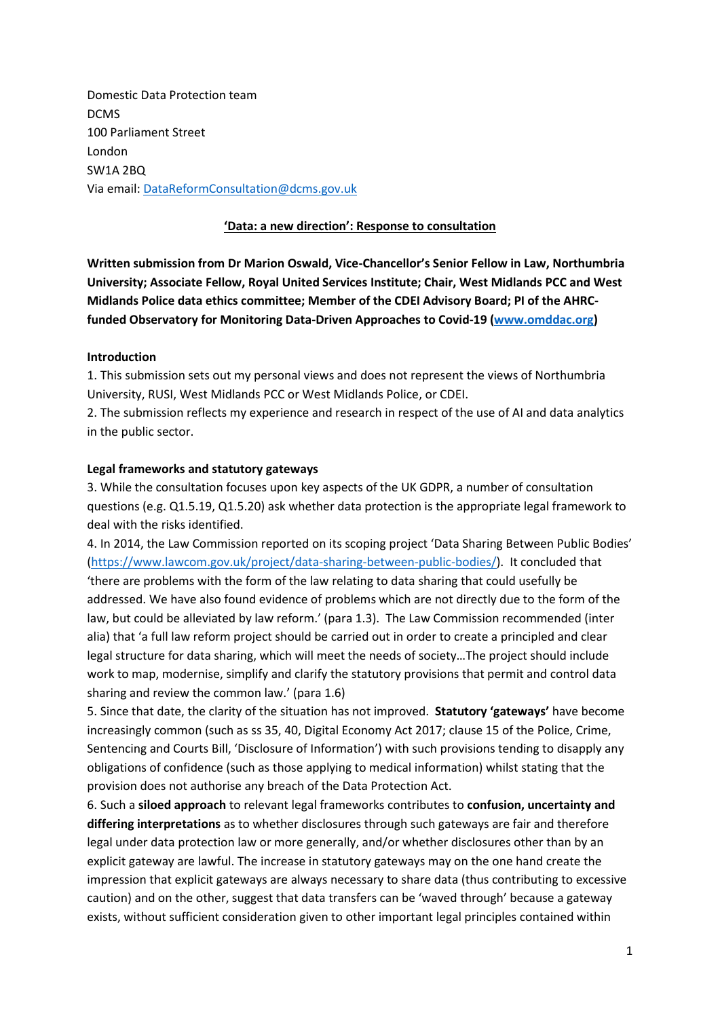Domestic Data Protection team DCMS 100 Parliament Street London SW1A 2BQ Via email[: DataReformConsultation@dcms.gov.uk](mailto:DataReformConsultation@dcms.gov.uk)

# **'Data: a new direction': Response to consultation**

**Written submission from Dr Marion Oswald, Vice-Chancellor's Senior Fellow in Law, Northumbria University; Associate Fellow, Royal United Services Institute; Chair, West Midlands PCC and West Midlands Police data ethics committee; Member of the CDEI Advisory Board; PI of the AHRCfunded Observatory for Monitoring Data-Driven Approaches to Covid-19 [\(www.omddac.org\)](http://www.omddac.org/)** 

#### **Introduction**

1. This submission sets out my personal views and does not represent the views of Northumbria University, RUSI, West Midlands PCC or West Midlands Police, or CDEI.

2. The submission reflects my experience and research in respect of the use of AI and data analytics in the public sector.

#### **Legal frameworks and statutory gateways**

3. While the consultation focuses upon key aspects of the UK GDPR, a number of consultation questions (e.g. Q1.5.19, Q1.5.20) ask whether data protection is the appropriate legal framework to deal with the risks identified.

4. In 2014, the Law Commission reported on its scoping project 'Data Sharing Between Public Bodies' [\(https://www.lawcom.gov.uk/project/data-sharing-between-public-bodies/\)](https://www.lawcom.gov.uk/project/data-sharing-between-public-bodies/). It concluded that 'there are problems with the form of the law relating to data sharing that could usefully be addressed. We have also found evidence of problems which are not directly due to the form of the law, but could be alleviated by law reform.' (para 1.3). The Law Commission recommended (inter alia) that 'a full law reform project should be carried out in order to create a principled and clear legal structure for data sharing, which will meet the needs of society…The project should include work to map, modernise, simplify and clarify the statutory provisions that permit and control data sharing and review the common law.' (para 1.6)

5. Since that date, the clarity of the situation has not improved. **Statutory 'gateways'** have become increasingly common (such as ss 35, 40, Digital Economy Act 2017; clause 15 of the Police, Crime, Sentencing and Courts Bill, 'Disclosure of Information') with such provisions tending to disapply any obligations of confidence (such as those applying to medical information) whilst stating that the provision does not authorise any breach of the Data Protection Act.

6. Such a **siloed approach** to relevant legal frameworks contributes to **confusion, uncertainty and differing interpretations** as to whether disclosures through such gateways are fair and therefore legal under data protection law or more generally, and/or whether disclosures other than by an explicit gateway are lawful. The increase in statutory gateways may on the one hand create the impression that explicit gateways are always necessary to share data (thus contributing to excessive caution) and on the other, suggest that data transfers can be 'waved through' because a gateway exists, without sufficient consideration given to other important legal principles contained within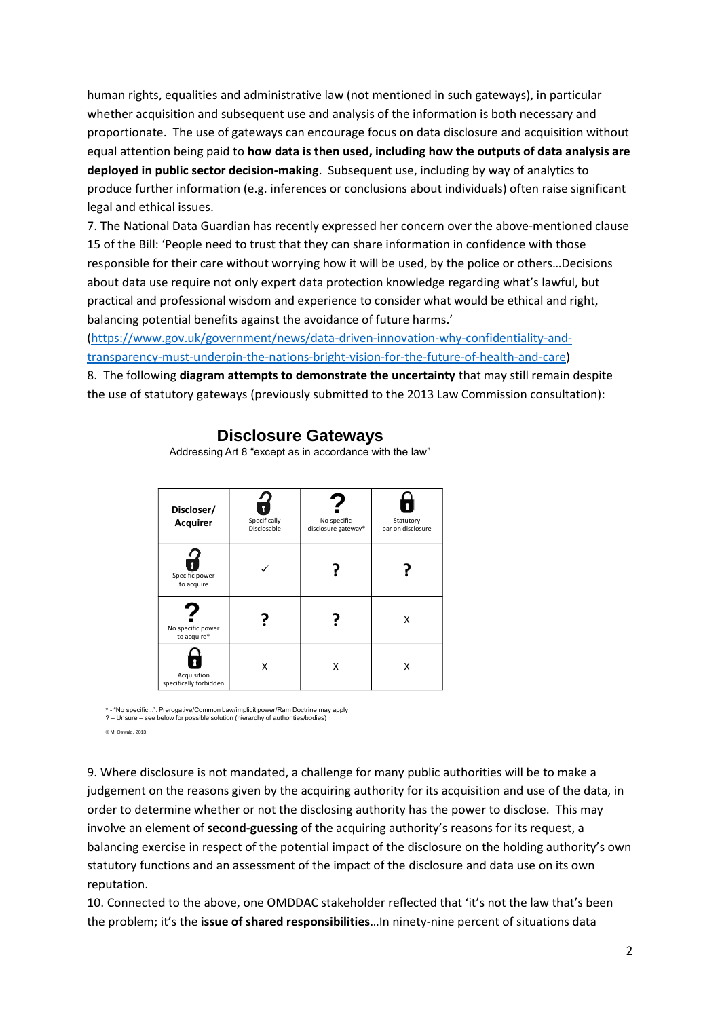human rights, equalities and administrative law (not mentioned in such gateways), in particular whether acquisition and subsequent use and analysis of the information is both necessary and proportionate. The use of gateways can encourage focus on data disclosure and acquisition without equal attention being paid to **how data is then used, including how the outputs of data analysis are deployed in public sector decision-making**. Subsequent use, including by way of analytics to produce further information (e.g. inferences or conclusions about individuals) often raise significant legal and ethical issues.

7. The National Data Guardian has recently expressed her concern over the above-mentioned clause 15 of the Bill: 'People need to trust that they can share information in confidence with those responsible for their care without worrying how it will be used, by the police or others…Decisions about data use require not only expert data protection knowledge regarding what's lawful, but practical and professional wisdom and experience to consider what would be ethical and right, balancing potential benefits against the avoidance of future harms.'

[\(https://www.gov.uk/government/news/data-driven-innovation-why-confidentiality-and](https://www.gov.uk/government/news/data-driven-innovation-why-confidentiality-and-transparency-must-underpin-the-nations-bright-vision-for-the-future-of-health-and-care)[transparency-must-underpin-the-nations-bright-vision-for-the-future-of-health-and-care\)](https://www.gov.uk/government/news/data-driven-innovation-why-confidentiality-and-transparency-must-underpin-the-nations-bright-vision-for-the-future-of-health-and-care)

8. The following **diagram attempts to demonstrate the uncertainty** that may still remain despite the use of statutory gateways (previously submitted to the 2013 Law Commission consultation):

| Discloser/<br><b>Acquirer</b>         | Specifically<br>Disclosable | No specific<br>disclosure gateway* | Statutory<br>bar on disclosure |
|---------------------------------------|-----------------------------|------------------------------------|--------------------------------|
| Specific power<br>to acquire          |                             |                                    |                                |
| No specific power<br>to acquire*      |                             |                                    | X                              |
| Acquisition<br>specifically forbidden | Χ                           | x                                  | x                              |

# **Disclosure Gateways**

Addressing Art 8 "except as in accordance with the law"

\* - "No specific...": Prerogative/Common Law/implicit power/Ram Doctrine may apply ? – Unsure – see below for possible solution (hierarchy of authorities/bodies)

© M. Oswald, 2013

9. Where disclosure is not mandated, a challenge for many public authorities will be to make a judgement on the reasons given by the acquiring authority for its acquisition and use of the data, in order to determine whether or not the disclosing authority has the power to disclose. This may involve an element of **second-guessing** of the acquiring authority's reasons for its request, a balancing exercise in respect of the potential impact of the disclosure on the holding authority's own statutory functions and an assessment of the impact of the disclosure and data use on its own reputation.

10. Connected to the above, one OMDDAC stakeholder reflected that 'it's not the law that's been the problem; it's the **issue of shared responsibilities**…In ninety-nine percent of situations data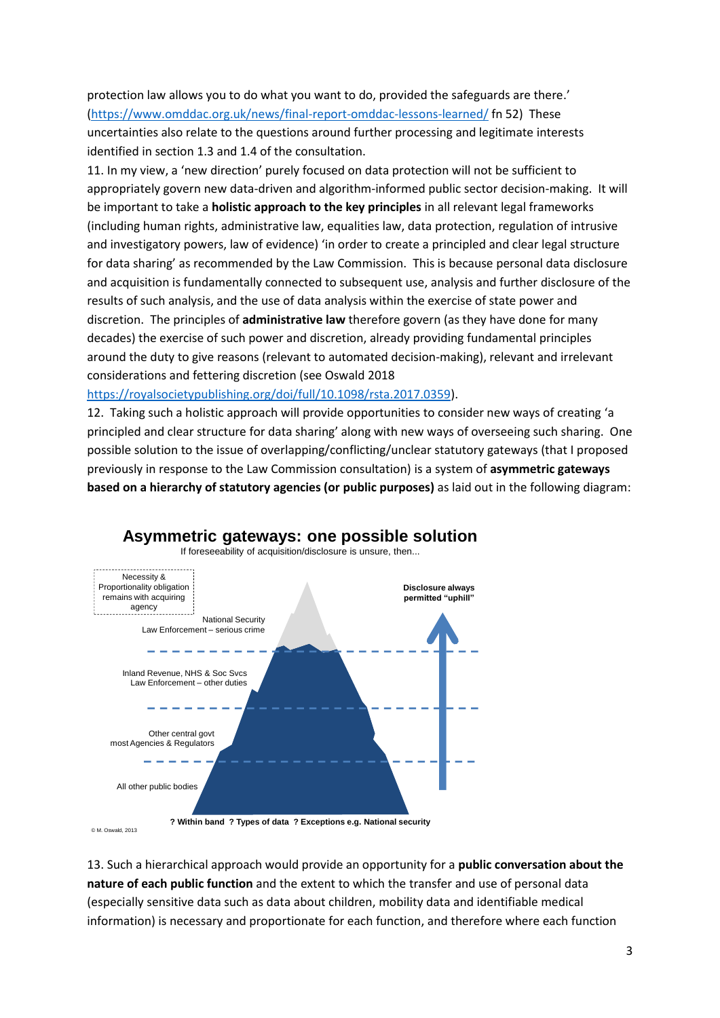protection law allows you to do what you want to do, provided the safeguards are there.' [\(https://www.omddac.org.uk/news/final-report-omddac-lessons-learned/](https://www.omddac.org.uk/news/final-report-omddac-lessons-learned/) fn 52) These uncertainties also relate to the questions around further processing and legitimate interests identified in section 1.3 and 1.4 of the consultation.

11. In my view, a 'new direction' purely focused on data protection will not be sufficient to appropriately govern new data-driven and algorithm-informed public sector decision-making. It will be important to take a **holistic approach to the key principles** in all relevant legal frameworks (including human rights, administrative law, equalities law, data protection, regulation of intrusive and investigatory powers, law of evidence) 'in order to create a principled and clear legal structure for data sharing' as recommended by the Law Commission. This is because personal data disclosure and acquisition is fundamentally connected to subsequent use, analysis and further disclosure of the results of such analysis, and the use of data analysis within the exercise of state power and discretion. The principles of **administrative law** therefore govern (as they have done for many decades) the exercise of such power and discretion, already providing fundamental principles around the duty to give reasons (relevant to automated decision-making), relevant and irrelevant considerations and fettering discretion (see Oswald 2018

# [https://royalsocietypublishing.org/doi/full/10.1098/rsta.2017.0359\)](https://royalsocietypublishing.org/doi/full/10.1098/rsta.2017.0359).

12. Taking such a holistic approach will provide opportunities to consider new ways of creating 'a principled and clear structure for data sharing' along with new ways of overseeing such sharing. One possible solution to the issue of overlapping/conflicting/unclear statutory gateways (that I proposed previously in response to the Law Commission consultation) is a system of **asymmetric gateways based on a hierarchy of statutory agencies (or public purposes)** as laid out in the following diagram:



# 13. Such a hierarchical approach would provide an opportunity for a **public conversation about the nature of each public function** and the extent to which the transfer and use of personal data (especially sensitive data such as data about children, mobility data and identifiable medical information) is necessary and proportionate for each function, and therefore where each function